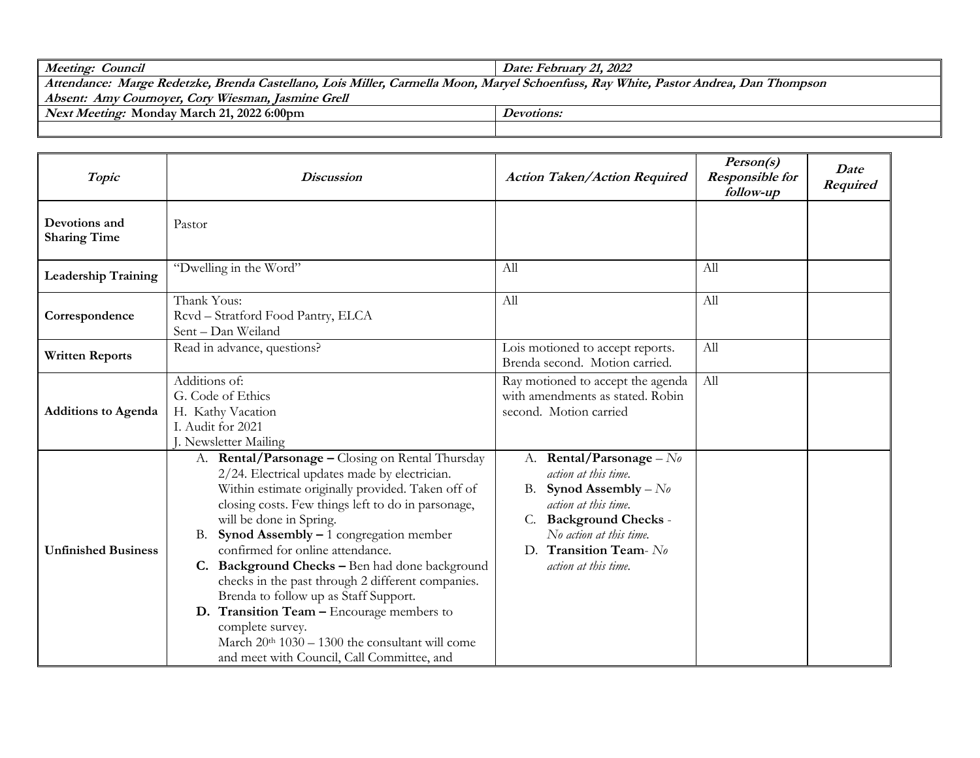| Meeting: Council                                                                                                                     | Date: February 21, 2022 |  |
|--------------------------------------------------------------------------------------------------------------------------------------|-------------------------|--|
| Attendance: Marge Redetzke, Brenda Castellano, Lois Miller, Carmella Moon, Maryel Schoenfuss, Ray White, Pastor Andrea, Dan Thompson |                         |  |
| Absent: Amy Cournoyer, Cory Wiesman, Jasmine Grell                                                                                   |                         |  |
| <i>Next Meeting:</i> Monday March 21, 2022 6:00pm                                                                                    | Devotions:              |  |
|                                                                                                                                      |                         |  |

| Topic                                | <b>Discussion</b>                                                                                                                                                                                                                                                                                                                                                                                                                                                                                                                                                                                                                                | <b>Action Taken/Action Required</b>                                                                                                                                                                                               | Person(s)<br><b>Responsible for</b><br>follow-up | Date<br>Required |
|--------------------------------------|--------------------------------------------------------------------------------------------------------------------------------------------------------------------------------------------------------------------------------------------------------------------------------------------------------------------------------------------------------------------------------------------------------------------------------------------------------------------------------------------------------------------------------------------------------------------------------------------------------------------------------------------------|-----------------------------------------------------------------------------------------------------------------------------------------------------------------------------------------------------------------------------------|--------------------------------------------------|------------------|
| Devotions and<br><b>Sharing Time</b> | Pastor                                                                                                                                                                                                                                                                                                                                                                                                                                                                                                                                                                                                                                           |                                                                                                                                                                                                                                   |                                                  |                  |
| <b>Leadership Training</b>           | "Dwelling in the Word"                                                                                                                                                                                                                                                                                                                                                                                                                                                                                                                                                                                                                           | All                                                                                                                                                                                                                               | All                                              |                  |
| Correspondence                       | Thank Yous:<br>Revd - Stratford Food Pantry, ELCA<br>Sent - Dan Weiland                                                                                                                                                                                                                                                                                                                                                                                                                                                                                                                                                                          | All                                                                                                                                                                                                                               | All                                              |                  |
| <b>Written Reports</b>               | Read in advance, questions?                                                                                                                                                                                                                                                                                                                                                                                                                                                                                                                                                                                                                      | Lois motioned to accept reports.<br>Brenda second. Motion carried.                                                                                                                                                                | All                                              |                  |
| <b>Additions to Agenda</b>           | Additions of:<br>G. Code of Ethics<br>H. Kathy Vacation<br>I. Audit for 2021<br>J. Newsletter Mailing                                                                                                                                                                                                                                                                                                                                                                                                                                                                                                                                            | Ray motioned to accept the agenda<br>with amendments as stated. Robin<br>second. Motion carried                                                                                                                                   | All                                              |                  |
| <b>Unfinished Business</b>           | A. Rental/Parsonage - Closing on Rental Thursday<br>2/24. Electrical updates made by electrician.<br>Within estimate originally provided. Taken off of<br>closing costs. Few things left to do in parsonage,<br>will be done in Spring.<br>Synod Assembly $-1$ congregation member<br>В.<br>confirmed for online attendance.<br>C. Background Checks - Ben had done background<br>checks in the past through 2 different companies.<br>Brenda to follow up as Staff Support.<br>D. Transition Team - Encourage members to<br>complete survey.<br>March $20th 1030 - 1300$ the consultant will come<br>and meet with Council, Call Committee, and | Rental/Parsonage - $N_{0}$<br>А.<br>action at this time.<br>Synod Assembly – $N_{\theta}$<br>B.<br>action at this time.<br><b>Background Checks -</b><br>No action at this time.<br>D. Transition Team-No<br>action at this time. |                                                  |                  |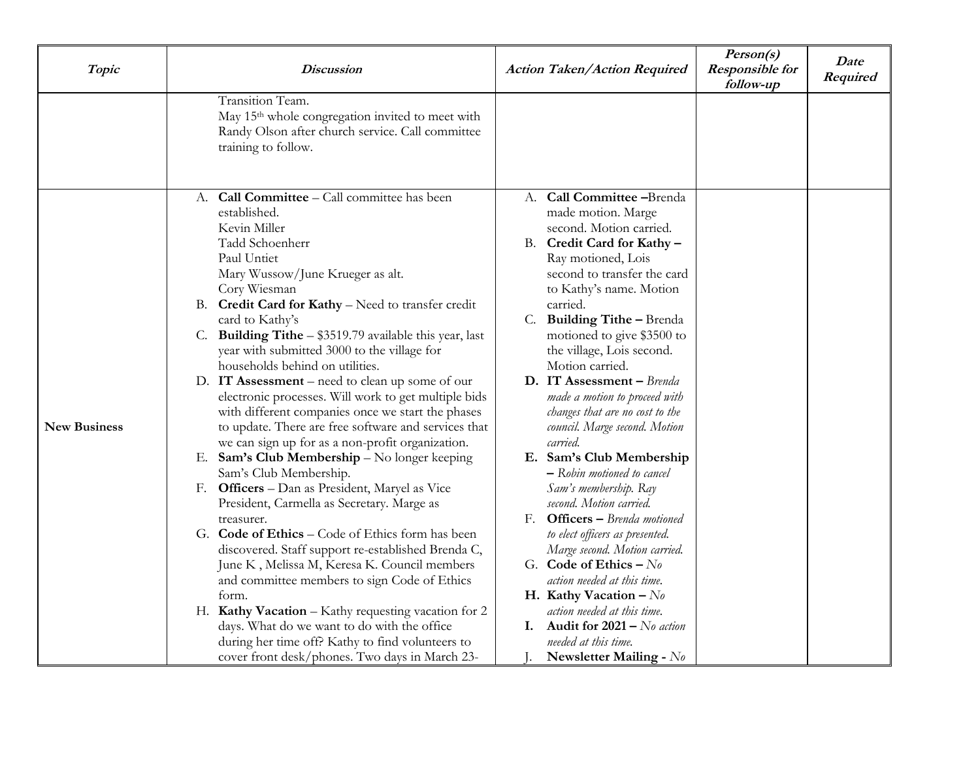| Topic               | <b>Discussion</b>                                                                                                                                                                                                                                                                                                                                                                                                                                                                                                                                                                                                                                                                                                                                                                                                                                                                                                                                                                                                                                                                                                                                                                                                                                                                             | <b>Action Taken/Action Required</b>                                                                                                                                                                                                                                                                                                                                                                                                                                                                                                                                                                                                                                                                                                                                                                                                                                                                                                    | Person(s)<br><b>Responsible for</b><br>follow-up | Date<br>Required |
|---------------------|-----------------------------------------------------------------------------------------------------------------------------------------------------------------------------------------------------------------------------------------------------------------------------------------------------------------------------------------------------------------------------------------------------------------------------------------------------------------------------------------------------------------------------------------------------------------------------------------------------------------------------------------------------------------------------------------------------------------------------------------------------------------------------------------------------------------------------------------------------------------------------------------------------------------------------------------------------------------------------------------------------------------------------------------------------------------------------------------------------------------------------------------------------------------------------------------------------------------------------------------------------------------------------------------------|----------------------------------------------------------------------------------------------------------------------------------------------------------------------------------------------------------------------------------------------------------------------------------------------------------------------------------------------------------------------------------------------------------------------------------------------------------------------------------------------------------------------------------------------------------------------------------------------------------------------------------------------------------------------------------------------------------------------------------------------------------------------------------------------------------------------------------------------------------------------------------------------------------------------------------------|--------------------------------------------------|------------------|
|                     | Transition Team.<br>May 15 <sup>th</sup> whole congregation invited to meet with<br>Randy Olson after church service. Call committee<br>training to follow.                                                                                                                                                                                                                                                                                                                                                                                                                                                                                                                                                                                                                                                                                                                                                                                                                                                                                                                                                                                                                                                                                                                                   |                                                                                                                                                                                                                                                                                                                                                                                                                                                                                                                                                                                                                                                                                                                                                                                                                                                                                                                                        |                                                  |                  |
| <b>New Business</b> | Call Committee - Call committee has been<br>А.<br>established.<br>Kevin Miller<br>Tadd Schoenherr<br>Paul Untiet<br>Mary Wussow/June Krueger as alt.<br>Cory Wiesman<br>B. Credit Card for Kathy - Need to transfer credit<br>card to Kathy's<br>C. Building Tithe - \$3519.79 available this year, last<br>year with submitted 3000 to the village for<br>households behind on utilities.<br>D. IT Assessment – need to clean up some of our<br>electronic processes. Will work to get multiple bids<br>with different companies once we start the phases<br>to update. There are free software and services that<br>we can sign up for as a non-profit organization.<br>E. Sam's Club Membership - No longer keeping<br>Sam's Club Membership.<br>F. Officers - Dan as President, Maryel as Vice<br>President, Carmella as Secretary. Marge as<br>treasurer.<br>G. Code of Ethics - Code of Ethics form has been<br>discovered. Staff support re-established Brenda C,<br>June K, Melissa M, Keresa K. Council members<br>and committee members to sign Code of Ethics<br>form.<br>H. Kathy Vacation - Kathy requesting vacation for 2<br>days. What do we want to do with the office<br>during her time off? Kathy to find volunteers to<br>cover front desk/phones. Two days in March 23- | Call Committee -Brenda<br>А.<br>made motion. Marge<br>second. Motion carried.<br>B. Credit Card for Kathy -<br>Ray motioned, Lois<br>second to transfer the card<br>to Kathy's name. Motion<br>carried.<br>C.<br><b>Building Tithe - Brenda</b><br>motioned to give \$3500 to<br>the village, Lois second.<br>Motion carried.<br>D. IT Assessment - Brenda<br>made a motion to proceed with<br>changes that are no cost to the<br>council. Marge second. Motion<br>carried.<br>E. Sam's Club Membership<br>- Robin motioned to cancel<br>Sam's membership. Ray<br>second. Motion carried.<br><b>Officers</b> - Brenda motioned<br>F.<br>to elect officers as presented.<br>Marge second. Motion carried.<br>G. Code of Ethics - $N_0$<br>action needed at this time.<br>H. Kathy Vacation $-N_0$<br>action needed at this time.<br><b>I.</b> Audit for $2021 - No$ action<br>needed at this time.<br>Newsletter Mailing - $N_{\theta}$ |                                                  |                  |